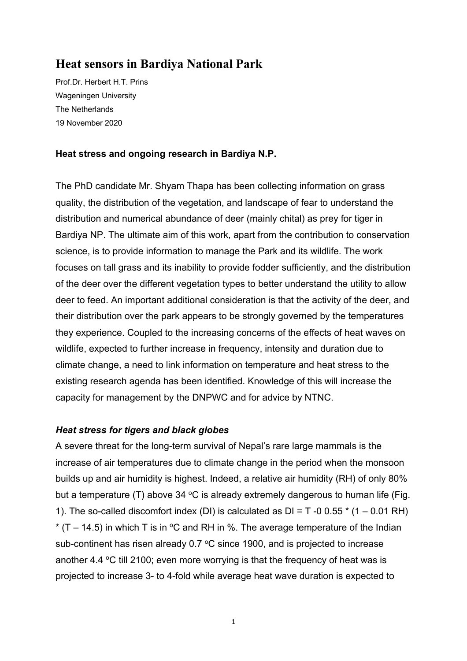# **Heat sensors in Bardiya National Park**

Prof.Dr. Herbert H.T. Prins Wageningen University The Netherlands 19 November 2020

#### **Heat stress and ongoing research in Bardiya N.P.**

The PhD candidate Mr. Shyam Thapa has been collecting information on grass quality, the distribution of the vegetation, and landscape of fear to understand the distribution and numerical abundance of deer (mainly chital) as prey for tiger in Bardiya NP. The ultimate aim of this work, apart from the contribution to conservation science, is to provide information to manage the Park and its wildlife. The work focuses on tall grass and its inability to provide fodder sufficiently, and the distribution of the deer over the different vegetation types to better understand the utility to allow deer to feed. An important additional consideration is that the activity of the deer, and their distribution over the park appears to be strongly governed by the temperatures they experience. Coupled to the increasing concerns of the effects of heat waves on wildlife, expected to further increase in frequency, intensity and duration due to climate change, a need to link information on temperature and heat stress to the existing research agenda has been identified. Knowledge of this will increase the capacity for management by the DNPWC and for advice by NTNC.

#### *Heat stress for tigers and black globes*

A severe threat for the long-term survival of Nepal's rare large mammals is the increase of air temperatures due to climate change in the period when the monsoon builds up and air humidity is highest. Indeed, a relative air humidity (RH) of only 80% but a temperature (T) above 34  $\degree$ C is already extremely dangerous to human life (Fig. 1). The so-called discomfort index (DI) is calculated as  $DI = T - 0.055 * (1 - 0.01 RH)$ \* (T – 14.5) in which T is in  $\degree$ C and RH in %. The average temperature of the Indian sub-continent has risen already  $0.7 \degree C$  since 1900, and is projected to increase another 4.4  $\degree$ C till 2100; even more worrying is that the frequency of heat was is projected to increase 3- to 4-fold while average heat wave duration is expected to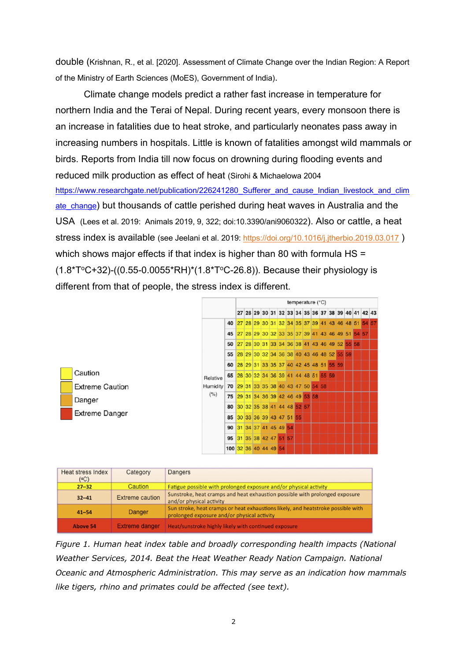double (Krishnan, R., et al. [2020]. Assessment of Climate Change over the Indian Region: A Report of the Ministry of Earth Sciences (MoES), Government of India).

Climate change models predict a rather fast increase in temperature for northern India and the Terai of Nepal. During recent years, every monsoon there is an increase in fatalities due to heat stroke, and particularly neonates pass away in increasing numbers in hospitals. Little is known of fatalities amongst wild mammals or birds. Reports from India till now focus on drowning during flooding events and reduced milk production as effect of heat (Sirohi & Michaelowa 2004 https://www.researchgate.net/publication/226241280\_Sufferer\_and\_cause\_Indian\_livestock\_and\_clim ate change) but thousands of cattle perished during heat waves in Australia and the USA (Lees et al. 2019: Animals 2019, 9, 322; doi:10.3390/ani9060322). Also or cattle, a heat stress index is available (see Jeelani et al. 2019: https://doi.org/10.1016/j.jtherbio.2019.03.017) which shows major effects if that index is higher than 80 with formula HS =  $(1.8*T^{\circ}C+32)$ - $($ (0.55-0.0055\*RH)\*(1.8\*T°C-26.8)). Because their physiology is different from that of people, the stress index is different.



| Heat stress Index<br>(°C) | Category        | Dangers                                                                                                                         |
|---------------------------|-----------------|---------------------------------------------------------------------------------------------------------------------------------|
| $27 - 32$                 | Caution         | Fatigue possible with prolonged exposure and/or physical activity                                                               |
| $32 - 41$                 | Extreme caution | Sunstroke, heat cramps and heat exhaustion possible with prolonged exposure<br>and/or physical activity                         |
| $41 - 54$                 | Danger          | Sun stroke, heat cramps or heat exhaustions likely, and heatstroke possible with<br>prolonged exposure and/or physical activity |
| <b>Above 54</b>           | Extreme danger  | Heat/sunstroke highly likely with continued exposure                                                                            |

*Figure 1. Human heat index table and broadly corresponding health impacts (National Weather Services, 2014. Beat the Heat Weather Ready Nation Campaign. National Oceanic and Atmospheric Administration. This may serve as an indication how mammals like tigers, rhino and primates could be affected (see text).*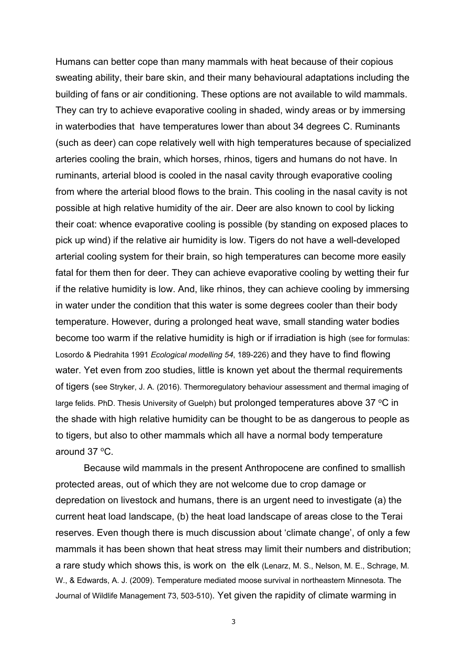Humans can better cope than many mammals with heat because of their copious sweating ability, their bare skin, and their many behavioural adaptations including the building of fans or air conditioning. These options are not available to wild mammals. They can try to achieve evaporative cooling in shaded, windy areas or by immersing in waterbodies that have temperatures lower than about 34 degrees C. Ruminants (such as deer) can cope relatively well with high temperatures because of specialized arteries cooling the brain, which horses, rhinos, tigers and humans do not have. In ruminants, arterial blood is cooled in the nasal cavity through evaporative cooling from where the arterial blood flows to the brain. This cooling in the nasal cavity is not possible at high relative humidity of the air. Deer are also known to cool by licking their coat: whence evaporative cooling is possible (by standing on exposed places to pick up wind) if the relative air humidity is low. Tigers do not have a well-developed arterial cooling system for their brain, so high temperatures can become more easily fatal for them then for deer. They can achieve evaporative cooling by wetting their fur if the relative humidity is low. And, like rhinos, they can achieve cooling by immersing in water under the condition that this water is some degrees cooler than their body temperature. However, during a prolonged heat wave, small standing water bodies become too warm if the relative humidity is high or if irradiation is high (see for formulas: Losordo & Piedrahita 1991 *Ecological modelling 54*, 189-226) and they have to find flowing water. Yet even from zoo studies, little is known yet about the thermal requirements of tigers (see Stryker, J. A. (2016). Thermoregulatory behaviour assessment and thermal imaging of large felids. PhD. Thesis University of Guelph) but prolonged temperatures above 37  $^{\circ}$ C in the shade with high relative humidity can be thought to be as dangerous to people as to tigers, but also to other mammals which all have a normal body temperature around  $37 \,^{\circ}$ C.

Because wild mammals in the present Anthropocene are confined to smallish protected areas, out of which they are not welcome due to crop damage or depredation on livestock and humans, there is an urgent need to investigate (a) the current heat load landscape, (b) the heat load landscape of areas close to the Terai reserves. Even though there is much discussion about 'climate change', of only a few mammals it has been shown that heat stress may limit their numbers and distribution; a rare study which shows this, is work on the elk (Lenarz, M. S., Nelson, M. E., Schrage, M. W., & Edwards, A. J. (2009). Temperature mediated moose survival in northeastern Minnesota. The Journal of Wildlife Management 73, 503-510). Yet given the rapidity of climate warming in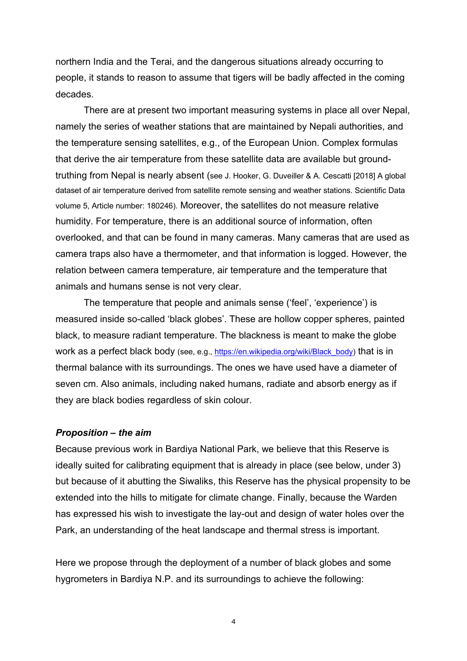northern India and the Terai, and the dangerous situations already occurring to people, it stands to reason to assume that tigers will be badly affected in the coming decades.

There are at present two important measuring systems in place all over Nepal, namely the series of weather stations that are maintained by Nepali authorities, and the temperature sensing satellites, e.g., of the European Union. Complex formulas that derive the air temperature from these satellite data are available but groundtruthing from Nepal is nearly absent (see J. Hooker, G. Duveiller & A. Cescatti [2018] A global dataset of air temperature derived from satellite remote sensing and weather stations. Scientific Data volume 5, Article number: 180246). Moreover, the satellites do not measure relative humidity. For temperature, there is an additional source of information, often overlooked, and that can be found in many cameras. Many cameras that are used as camera traps also have a thermometer, and that information is logged. However, the relation between camera temperature, air temperature and the temperature that animals and humans sense is not very clear.

The temperature that people and animals sense ('feel', 'experience') is measured inside so-called 'black globes'. These are hollow copper spheres, painted black, to measure radiant temperature. The blackness is meant to make the globe work as a perfect black body (see, e.g., https://en.wikipedia.org/wiki/Black\_body) that is in thermal balance with its surroundings. The ones we have used have a diameter of seven cm. Also animals, including naked humans, radiate and absorb energy as if they are black bodies regardless of skin colour.

#### *Proposition – the aim*

Because previous work in Bardiya National Park, we believe that this Reserve is ideally suited for calibrating equipment that is already in place (see below, under 3) but because of it abutting the Siwaliks, this Reserve has the physical propensity to be extended into the hills to mitigate for climate change. Finally, because the Warden has expressed his wish to investigate the lay-out and design of water holes over the Park, an understanding of the heat landscape and thermal stress is important.

Here we propose through the deployment of a number of black globes and some hygrometers in Bardiya N.P. and its surroundings to achieve the following: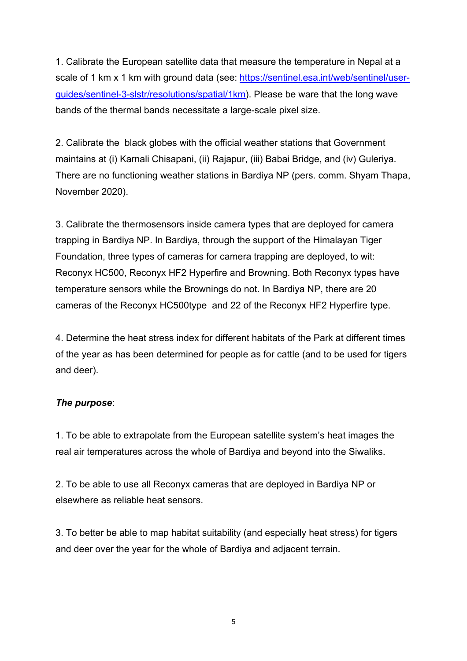1. Calibrate the European satellite data that measure the temperature in Nepal at a scale of 1 km x 1 km with ground data (see: https://sentinel.esa.int/web/sentinel/userguides/sentinel-3-slstr/resolutions/spatial/1km). Please be ware that the long wave bands of the thermal bands necessitate a large-scale pixel size.

2. Calibrate the black globes with the official weather stations that Government maintains at (i) Karnali Chisapani, (ii) Rajapur, (iii) Babai Bridge, and (iv) Guleriya. There are no functioning weather stations in Bardiya NP (pers. comm. Shyam Thapa, November 2020).

3. Calibrate the thermosensors inside camera types that are deployed for camera trapping in Bardiya NP. In Bardiya, through the support of the Himalayan Tiger Foundation, three types of cameras for camera trapping are deployed, to wit: Reconyx HC500, Reconyx HF2 Hyperfire and Browning. Both Reconyx types have temperature sensors while the Brownings do not. In Bardiya NP, there are 20 cameras of the Reconyx HC500type and 22 of the Reconyx HF2 Hyperfire type.

4. Determine the heat stress index for different habitats of the Park at different times of the year as has been determined for people as for cattle (and to be used for tigers and deer).

### *The purpose*:

1. To be able to extrapolate from the European satellite system's heat images the real air temperatures across the whole of Bardiya and beyond into the Siwaliks.

2. To be able to use all Reconyx cameras that are deployed in Bardiya NP or elsewhere as reliable heat sensors.

3. To better be able to map habitat suitability (and especially heat stress) for tigers and deer over the year for the whole of Bardiya and adjacent terrain.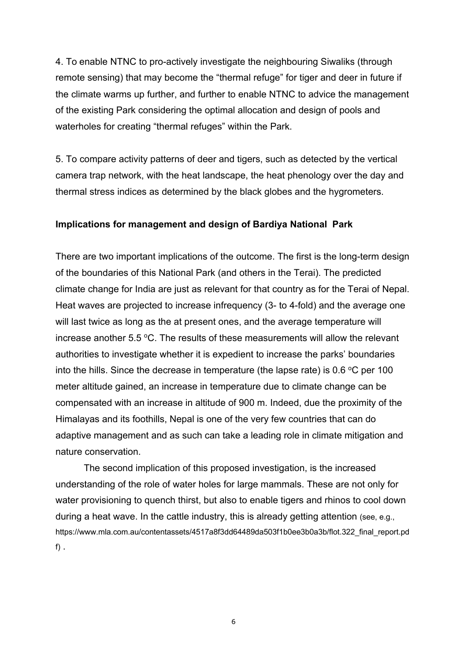4. To enable NTNC to pro-actively investigate the neighbouring Siwaliks (through remote sensing) that may become the "thermal refuge" for tiger and deer in future if the climate warms up further, and further to enable NTNC to advice the management of the existing Park considering the optimal allocation and design of pools and waterholes for creating "thermal refuges" within the Park.

5. To compare activity patterns of deer and tigers, such as detected by the vertical camera trap network, with the heat landscape, the heat phenology over the day and thermal stress indices as determined by the black globes and the hygrometers.

#### **Implications for management and design of Bardiya National Park**

There are two important implications of the outcome. The first is the long-term design of the boundaries of this National Park (and others in the Terai). The predicted climate change for India are just as relevant for that country as for the Terai of Nepal. Heat waves are projected to increase infrequency (3- to 4-fold) and the average one will last twice as long as the at present ones, and the average temperature will increase another  $5.5 \, \text{°C}$ . The results of these measurements will allow the relevant authorities to investigate whether it is expedient to increase the parks' boundaries into the hills. Since the decrease in temperature (the lapse rate) is 0.6  $\degree$ C per 100 meter altitude gained, an increase in temperature due to climate change can be compensated with an increase in altitude of 900 m. Indeed, due the proximity of the Himalayas and its foothills, Nepal is one of the very few countries that can do adaptive management and as such can take a leading role in climate mitigation and nature conservation.

The second implication of this proposed investigation, is the increased understanding of the role of water holes for large mammals. These are not only for water provisioning to quench thirst, but also to enable tigers and rhinos to cool down during a heat wave. In the cattle industry, this is already getting attention (see, e.g., https://www.mla.com.au/contentassets/4517a8f3dd64489da503f1b0ee3b0a3b/flot.322\_final\_report.pd f) .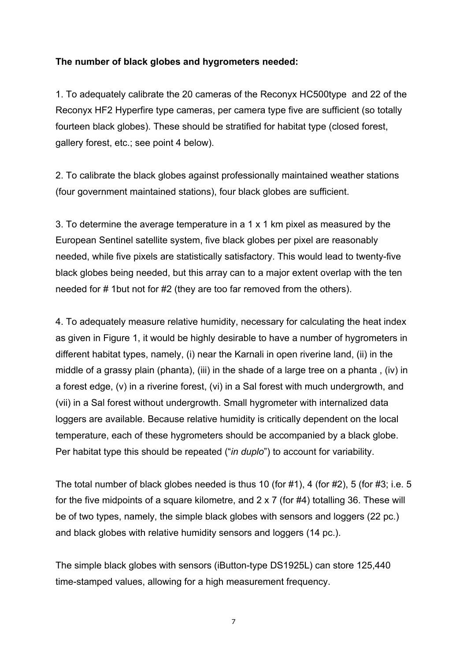### **The number of black globes and hygrometers needed:**

1. To adequately calibrate the 20 cameras of the Reconyx HC500type and 22 of the Reconyx HF2 Hyperfire type cameras, per camera type five are sufficient (so totally fourteen black globes). These should be stratified for habitat type (closed forest, gallery forest, etc.; see point 4 below).

2. To calibrate the black globes against professionally maintained weather stations (four government maintained stations), four black globes are sufficient.

3. To determine the average temperature in a 1 x 1 km pixel as measured by the European Sentinel satellite system, five black globes per pixel are reasonably needed, while five pixels are statistically satisfactory. This would lead to twenty-five black globes being needed, but this array can to a major extent overlap with the ten needed for # 1but not for #2 (they are too far removed from the others).

4. To adequately measure relative humidity, necessary for calculating the heat index as given in Figure 1, it would be highly desirable to have a number of hygrometers in different habitat types, namely, (i) near the Karnali in open riverine land, (ii) in the middle of a grassy plain (phanta), (iii) in the shade of a large tree on a phanta , (iv) in a forest edge, (v) in a riverine forest, (vi) in a Sal forest with much undergrowth, and (vii) in a Sal forest without undergrowth. Small hygrometer with internalized data loggers are available. Because relative humidity is critically dependent on the local temperature, each of these hygrometers should be accompanied by a black globe. Per habitat type this should be repeated ("*in duplo*") to account for variability.

The total number of black globes needed is thus 10 (for #1), 4 (for #2), 5 (for #3; i.e. 5 for the five midpoints of a square kilometre, and 2 x 7 (for #4) totalling 36. These will be of two types, namely, the simple black globes with sensors and loggers (22 pc.) and black globes with relative humidity sensors and loggers (14 pc.).

The simple black globes with sensors (iButton-type DS1925L) can store 125,440 time-stamped values, allowing for a high measurement frequency.